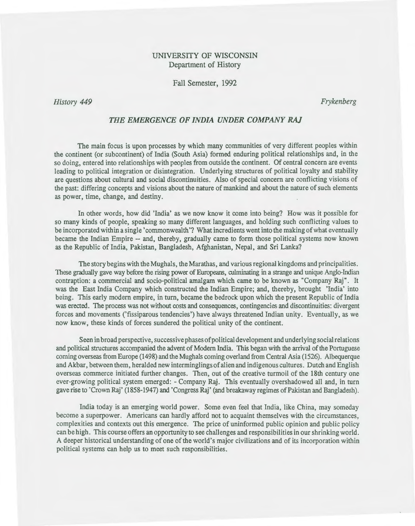# UNIVERSITY OF WISCONSIN Department of History

Fall Semester, 1992

*History 449* 

*Frykenberg* 

### *THE EMERGENCE OF INDIA UNDER COMPANY RAJ*

The main focus is upon processes by which many communities of very different peoples within the continent (or subcontinent) of India (South Asia) formed enduring political relationships and, in the so doing, entered into relationships with peoples from outside the continent. Of central concern are events leading to political integration or disintegration. Underlying structures of political loyalty and stability are questions about cultural and social discontinuities. Also of special concern are conflicting visions of the past: differing concepts and visions about the nature of mankind and about the nature of such elements as power, time, change, and destiny.

In other words, how did 'India' as we now know it come into being? How was it possible for so many kinds of people, speaking so many different languages, and holding such conflicting values to be incorporated within a single' commonwealth'? What incredients went into the making of what eventually became the Indian Empire -- and, thereby, gradually came to form those political systems now known as the Republic of India, Pakistan, Bangladesh, Afghanistan, Nepal, and Sri Lanka?

The story begins with the Mughals, the Marathas, and various regional kingdoms and principalities. These gradually gave way before the rising power of Europeans, culminating in a strange and unique Anglo-Indian contraption: a commercial and socio-political amalgam which came to be known as "Company Raj". It was the East India Company which constructed the Indian Empire; and, thereby, brought 'India' into being. This early modern empire, in turn, became the bedrock upon which the present Republic of India was erected. The process was not without costs and consequences, contingencies and discontinuities: divergent forces and movements ('fissiparous tendencies') have always threatened Indian unity. Eventually, as we now know, these kinds of forces sundered the political unity of the continent.

Seen in broad perspective, successive phases of political development and underlying social relations and political structures accompanied the advent of Modern India. This began with the arrival of the Portuguese coming overseas from Europe (1498) and the Mughals coming overland from Central Asia (1526). Albequerque and Akbar, between them, heralded new interminglings of alien and indigenous cultures. Dutch and English overseas commerce initiated further changes. Then, out of the creative turmoil of the 18th century one ever-growing political system emerged: -Company Raj. This eventually overshadowed all and, in turn gave rise to 'Crown Raj' (1858-1947) and 'Congress Raj' (and breakaway regimes of Pakistan and Bangladesh).

India today is an emerging world power. Some even feel that India, like China, may someday become a superpower. Americans can hardly afford not to acquaint themselves with the circumstances, complexities and contexts out this emergence. The price of uninformed public opinion and public policy can be high. This course offers an opportunity to see challenges and responsibilities in our shrinking world. A deeper historical understanding of one of the world's major civilizations and of its incorporation within political systems can help us to meet such responsibilities.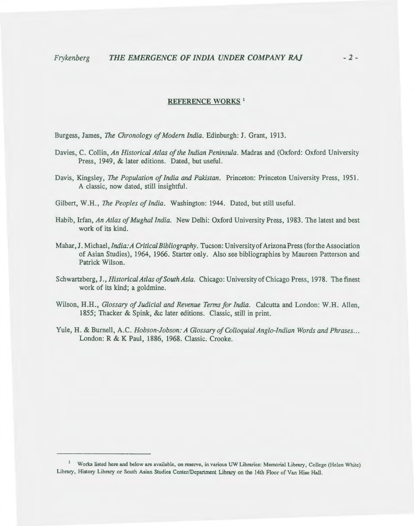### REFERENCE WORKS<sup>1</sup>

Burgess, James, *The Chronology of Modern India.* Edinburgh: J. Grant, 1913.

- Davies, C. Collin, *An Historical Atlas of the Indian Peninsula.* Madras and (Oxford: Oxford University Press, 1949, & later editions. Dated, but useful.
- Davis, Kingsley, *The Population of India and Pakistan.* Princeton: Princeton University Press, 1951. A classic, now dated, still insightful.
- Gilbert, W.H., *The Peoples of India.* Washington: 1944. Dated, but still useful.
- Habib, Irfan, *An Atlas of Mughal India.* New Delhi: Oxford University Press, 1983. The latest and best work of its kind.
- Mahar, J. Michael, *India: A Critical Bibliography.* Tucson: University of Arizona Press (for the Association of Asian Studies), 1964, 1966. Starter only. Also see bibliographies by Maureen Patterson and Patrick Wilson.
- Schwartzberg, J., *Historical Atlas of South Asia.* Chicago: University of Chicago Press, 1978. The finest work of its kind; a goldmine.
- Wilson, H.H., *Glossary of Judicial and Revenue Terms for India.* Calcutta and London: W.H. Allen, 1855; Thacker & Spink, &c later editions. Classic, still in print.
- Yule, H. & Burnell, A.C. *Hobson-Jobson: A Glossary of Colloquial Anglo-Indian Words and Phrases ...*  London: R & K Paul, 1886, 1968. Classic. Crooke.

<sup>1</sup> Works listed here and below are available, on reserve, in various UW Libraries: Memorial Library, College (Helen White) Library, History Library or South Asian Studies Center/Department Library on the 14th Floor of Van Hise Hall.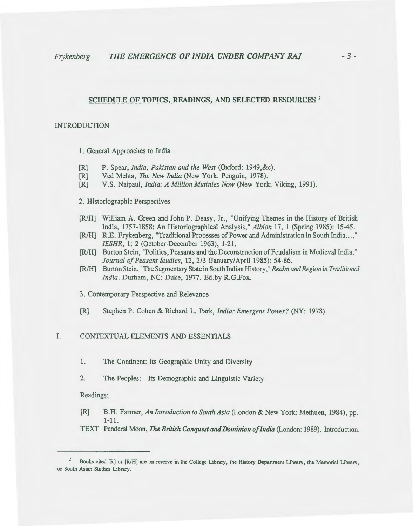# SCHEDULE OF TOPICS, READINGS, AND SELECTED RESOURCES<sup>2</sup>

### INTRODUCTION

1. General Approaches to India

- [R] P. Spear, *India, Pakistan and the West* (Oxford: 1949,&c).
- [R] Ved Mehta, *The New India* (New York: Penguin, 1978).
- [R] V.S. Naipaul, *India: A Million Mutinies Now* (New York: Viking, 1991).

#### 2. Historiographic Perspectives

- [R/H] William A. Green and John P. Deasy, Jr., "Unifying Themes in the History of British India, 1757-1858: An Historiographical Analysis," *Albion* 17, 1 (Spring 1985): 15-45.
- [R/H] R.E. Frykenberg, "Traditional Processes of Power and Administration in South India...," *IESHR,* 1: 2 (October-December 1963), 1-21.
- [RIH] Burton Stein, "Politics, Peasants and the Deconstruction of Feudalism in Medieval India, " *Journal of Peasant Studies,* 12, 2/3 (January/April 1985): 54-86.
- [R/H] Burton Stein, "The Segmentary State in South Indian History," *Realm and Region in Traditional India.* Durham, NC: Duke, 1977. Ed.by R.G.Fox.
- 3. Contemporary Perspective and Relevance
- [R] Stephen P. Cohen & Richard L. Park, *India: Emergent Power?* (NY: 1978).

### I. CONTEXTUAL ELEMENTS AND ESSENTIALS

- 1. The Continent: Its Geographic Unity and Diversity
- 2. The Peoples: Its Demographic and Linguistic Variety

#### Readings:

- [R] B.H. Farmer, *An Introduction to South Asia* (London & New York: Methuen, 1984), pp. 1-11.
- TEXT Penderal Moon, *The British Conquest and Dominion of India* (London: 1989). Introduction.

<sup>2</sup>  Books cited [R] or [R/H] are on reserve in the College Library, the History Department Library, the Memorial Library, or South Asian Studies Library.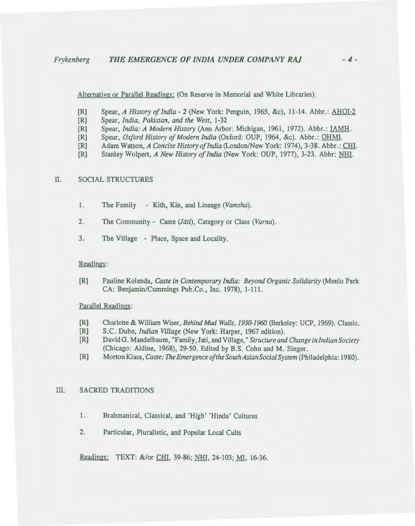Alternative or Parallel Readings: (On Reserve in Memorial and White Libraries).

- [R] Spear, *A History of India-* 2 (New York: Penguin, 1965, &c), 11-14. Abbr.: AHOI-2
- [R] Spear, *India, Pakistan, and the West,* 1-32
- [R] Spear, *India:* A *Modern History* (Ann Arbor: Michigan, 1961, 1972). Abbr.: IAMH.
- [R] Spear, *Oxford History of Modern India* (Oxford: OUP, 1964, &c). Abbr.: OHMI.
- [R] Adam Watson, A *Concise History of India* (London/New York: 1974), 3-38. Abbr. : CHI.
- [R] Stanley Wolpert, A *New History of India* (New York: OUP, 1977), 3-23. Abbr: NHI.

## II. SOCIAL STRUCTURES

- 1. The Family Kith, Kin, and Lineage *(Vamsha).*
- 2. The Community Caste *(Jati),* Category or Class *(Varna).*
- 3. The Village Place, Space and Locality.

### Readings:

[R] Pauline Kolenda, *Caste in Contemporary India: Beyond Organic Solidarity* (Menlo Park CA: Benjamin/Cummings Pub.Co., Inc. 1978), 1-111.

#### Parallel Readings:

- [R] Charlotte & William Wiser, *Behind Mud Walls, 1930-1960* (Berkeley: UCP, 1969). Classic.
- [R] S.C. Dube, *Indian Village* (New York: Harper, 1967 edition).
- [R] David G. Mandelbaum, "Family, J ati, and Village," *Structure and Change in Indian Society*  (Chicago: Aldine, 1968), 29-50. Edited by B.S. Cohn and M. Singer.
- [R] Morton Klass, *Caste: The Emergence of the South Asian Social System (Philadelphia: 1980).*

#### III. SACRED TRADITIONS

- 1. Brahmanical, Classical, and 'High' 'Hindu' Cultures
- 2. Particular, Pluralistic, and Popular Local Cults

Readings: TEXT: &/or CHI, 39-86; NHI, 24-103; MI, 16-36.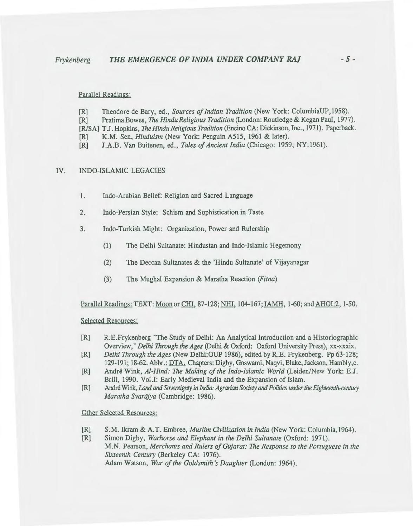Parallel Readings:

- [R] Theodore de Bary, ed., *Sources of Indian Tradition* (New York: Columbia UP, 1958).
- [R] Pratima Bowes, *The Hindu Religious Tradition* (London: Routledge & Kegan Paul, 1977).
- [R/SA] T.J. Hopkins, The *Hindu Religious Tradition* (Encino CA: Dickinson, Inc., 1971). Paperback.
- [R] K.M. Sen, *Hinduism* (New York: Penguin A515, 1961 & later).
- [R] J.A.B. Van Buitenen, ed., *Tales of Ancient India* (Chicago: 1959; NY:1961).

#### IV. INDO-ISLAMIC LEGACIES

- 1. Indo-Arabian Belief: Religion and Sacred Language
- 2. Indo-Persian Style: Schism and Sophistication in Taste
- 3. Indo-Turkish Might: Organization, Power and Rulership
	- (1) The Delhi Sultanate: Hindustan and Indo-Islamic Hegemony
	- (2) The Deccan Sultanates & the 'Hindu Sultanate' of Vijayanagar
	- (3) The Mughal Expansion & Maratha Reaction (Fitna)

Parallel Readings: TEXT: Moon or CHI, 87-128; NHI, 104-167; IAMH, 1-60; and AHOI:2, 1-50.

Selected Resources:

- [R] R.E.Frykenberg "The Study of Delhi: An Analytical Introduction and a Historiographic Overview," *Delhi Through the Ages* (Delhi & Oxford: Oxford University Press), xx-xxxix.
- [R] *Delhi Through the Ages* (New Delhi:OUP 1986), edited by R.E. Frykenberg. Pp 63-128; 129-191; 18-62. Abbr.: DTA. Chapters: Digby, Goswami, Naqvi, Blake, Jackson, Hambly,c.
- [R] Andre Wink, *Al-Hind: The Making of the Indo-Islamic World* (Leiden/New York: E.J. Brill, 1990. Vol.I: Early Medieval India and the Expansion of Islam.
- [R] André Wink, Land and Sovereignty in India: Agrarian Society and Politics under the *Eighteenth-century Maratha Svarajya* (Cambridge: 1986).

Other Selected Resources:

[R] S.M. Ikram & A.T. Embree, *Muslim Civilization in India* (New York: Columbia,1964).

[R] Simon Digby, *Warhorse and Elephant in the Delhi Sultanate* (Oxford: 1971). M.N. Pearson, *Merchants and Rulers of Gujarat: The Response to the Portuguese in the Sixteenth Century* (Berkeley CA: 1976). Adam Watson, *War of the Goldsmith's Daughter* (London: 1964).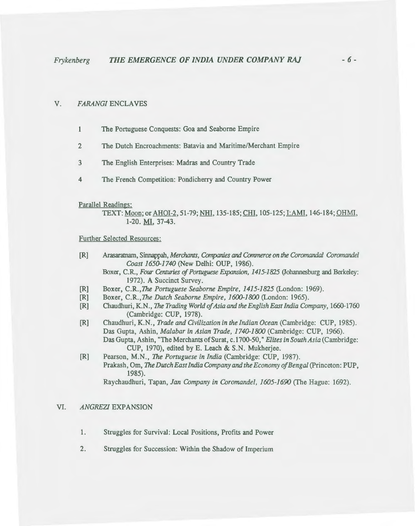### V. *FARANGIENCLAVES*

- 1 The Portuguese Conquests: Goa and Seaborne Empire
- 2 The Dutch Encroachments: Batavia and Maritime/Merchant Empire
- 3 The English Enterprises: Madras and Country Trade
- 4 The French Competition: Pondicherry and Country Power

#### Parallel Readings:

TEXT: Moon; or AHOI-2, 51-79; NHI, 135-185; CHI, 105-125; I:AMI, 146-184; OHMI, 1-20. MI, 37-43.

#### Further Selected Resources:

- [R] Arasaratnam, Sinnappah, *Merchants, Companies* and *Conunerce on* the *Coromandal Coronumdel Coast 1650-1740* (New Delhi: OUP, 1986).
	- Boxer, C.R., *Four Centuries of PoTtuguese Expansion, 1415-1825* (Johannesburg and Berkeley: 1972). A Succinct Survey.
- [R] Boxer, C.R.,The *Portuguese Seaborne Empire, 1415-1825* (London: 1969).
- [R] Boxer, C.R.,The *Dutch Seaborne Empire, 1600-1800* (London: 1965).
- [R] Chaudhuri, K.N., The *Trading World of Asia and the English East India Company,* 1660-1760 (Cambridge: CUP, 1978).
- [R] Chaudhuri, K.N., *Trade and Civilization in the Indian Ocean* (Cambridge: CUP, 1985). Das Gupta, Ashin, *Malabar in Asian Trade, 1740-1800* (Cambridge: CUP, 1966). Das Gupta, Ashin, "The Merchants of Surat, c.1700-50," *Elites in South Asia* (Cambridge: CUP, 1970), edited by E. Leach & S.N. Mukherjee.
- [R] Pearson, M.N., *The Portuguese in India* (Cambridge: CUP, 1987). Prakash, Om, *The Dutch East India Company and the Economy of Bengal* (Princeton: PUP, 1985).

Raychaudhuri, Tapan, *Jan Company in Coromandel, 1605-1690* (The Hague: 1692).

### VI. *ANGREZI* EXPANSION

- 1. Struggles for Survival: Local Positions, Profits and Power
- 2. Struggles for Succession: Within the Shadow of Imperium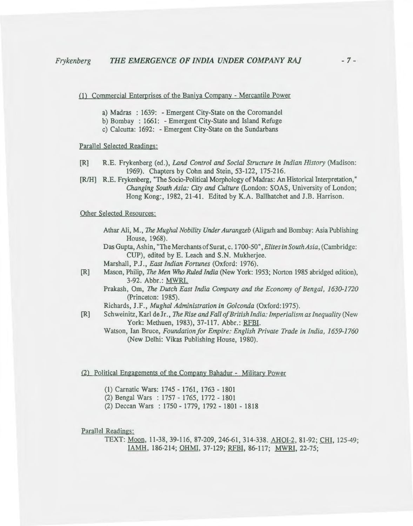(1) Commercial Enterprises of the Baniya Company - Mercantile Power

- a) Madras : 1639: Emergent City-State on the Coromandel
- b) Bombay : 1661: -Emergent City-State and Island Refuge
- c) Calcutta: 1692: -Emergent City-State on the Sundarbans

## Parallel Selected Readings:

- [R] R.E. Frykenberg (ed.), *Land Control and Social Structure in Indian History* (Madison: 1969). Chapters by Cohn and Stein, 53-122, 175-216.
- [RIH] R.E. Frykenberg, "The Socio-Political Morphology of Madras: An Historical Interpretation," *Changing South Asia: City and Culture* (London: SOAS, University of London; Hong Kong:, 1982, 21-41. Edited by K.A. Ballhatchet and J.B. Harrison.

Other Selected Resources:

- Athar Ali, M., *The Mughal Nobility Under Aurangzeb* (Aligarh and Bombay: Asia Publishing House, 1968).
- Das Gupta, Ashin, "The Merchants of Surat, c. 1700-50", *Elites in South Asia*, (Cambridge: CUP), edited by E. Leach and S.N. Mukherjee.
- Marshall, P.J., *East Indian Fortunes* (Oxford: 1976).
- [R] Mason, Philip, *The Men* Who *Ruled India* (New York: 1953; Norton 1985 abridged edition), 3-92. Abbr.: MWRI.
	- Prakash, Om, *The Dutch East India Company and the Economy of Bengal, 1630-1720*  (Princeton: 1985).
	- Richards, J.F., *Mughal Administration in Golconda* (Oxford:1975).
- [R] S ch weinitz, Karl de Jr., *The Rise and Fall of British India: Imperialism as Inequality* (New York: Methuen, 1983), 37-117. Abbr.: RFBI.
	- Watson, Ian Bruce, *Foundation for Empire: English Private Trade in India, 1659-1760* (New Delhi: Vikas Publishing House, 1980).

### (2) Political Engagements of the Company Bahadur - Military Power

- (1) Carnatic Wars: 1745- 1761, 1763- 1801
- (2) Bengal Wars : 1757- 1765, 1772- 1801
- (2) Deccan Wars : 1750- 1779, 1792- 1801- 1818

Parallel Readings:

TEXT: Moon, 11-38, 39-116, 87-209, 246-61, 314-338. AHOI-2, 81-92; CHI, 125-49; IAMH, 186-214; OHMI, 37-129; RFBI, 86-117; MWRI, 22-75;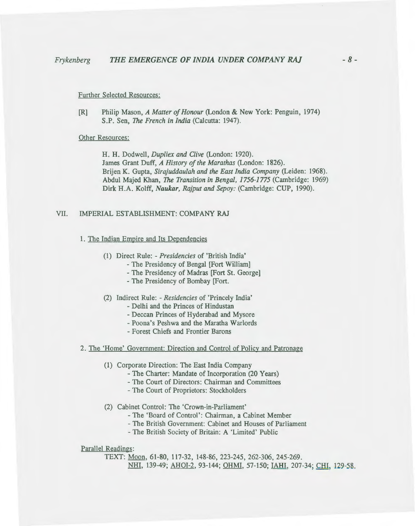#### Further Selected Resources:

[R] Philip Mason, *A Matter of Honour* (London & New York: Penguin, 1974) S.P. Sen, *The French in India* (Calcutta: 1947).

#### Other Resources:

H. H. Dodwell, *Dupliex and Clive* (London: 1920). James Grant Duff, *A History of the Marathas* (London: 1826). Brijen K. Gupta, *Sirajuddaulah and the East India Company* (Leiden: 1968). Abdul Majed Khan, *The Transition in Bengal, 1756-1775* (Cambridge: 1969) Dirk H.A. Kolff, *Naukar, Rajput and Sepoy:* (Cambridge: CUP, 1990).

# VII. IMPERIAL ESTABLISHMENT: COMPANY RAJ

#### 1. The Indian Empire and Its Dependencies

- (1) Direct Rule: *-Presidencies* of 'British India'
	- The Presidency of Bengal [Fort William]
	- -The Presidency of Madras [Fort St. George]
	- The Presidency of Bombay [Fort.

(2) Indirect Rule: - *Residencies* of 'Princely India'

- Delhi and the Princes of Hindustan
- Deccan Princes of Hyderabad and Mysore
- Poona's Peshwa and the Maratha Warlords
- Forest Chiefs and Frontier Barons
- 2. The 'Home' Government: Direction and Control of Policy and Patronage
	- (1) Corporate Direction: The East India Company
		- The Charter: Mandate of Incorporation (20 Years)
		- -The Court of Directors: Chairman and Committees
		- The Court of Proprietors: Stockholders
	- (2) Cabinet Control: The 'Crown-in-Parliament'
		- -The 'Board of Control': Chairman, a Cabinet Member
		- The British Government: Cabinet and Houses of Parliament
		- The British Society of Britain: A 'Limited' Public

### Parallel Readings:

TEXT: Moon, 61-80, 117-32, 148-86, 223-245, 262-306, 245-269. NHI, 139-49; AHOI-2, 93-144; OHMI, 57-150; IAHI, 207-34; CHI, 129-58.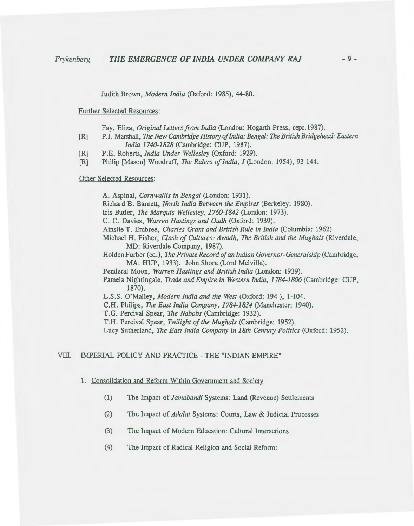Judith Brown, *Modern India* (Oxford: 1985), 44-80.

Further Selected Resources:

Fay, Eliza, *Original Letters from India* (London: Hogarth Press, repr.1987).

- [R] P.J. Marshall, The *New Cambridge History of India: Bengal:* The *British Bridgehead: Eastern India 1740-1828* (Cambridge: CUP, 1987).
- [R] P.E. Roberts, *India Under Wellesley* (Oxford: 1929).
- [R] Philip [Mason] Woodruff, *The Rulers of India, I* (London: 1954), 93-144.

Other Selected Resources:

A. Aspinal, *Cornwallis in Bengal* (London: 1931). Richard B. Barnett, *North India Between the Empires* (Berkeley: 1980). Iris Butler, *The Marquis Wellesley, 1760-1842* (London: 1973). C. C. Davies, *Warren Hastings and Oudh* (Oxford: 1939). Ainslie T. Embree, *Charles Grant and British Rule in India* (Columbia: 1962) Michael H. Fisher, *Clash of Cultures: Awadh, The British and the Mughals* (Riverdale, MD: Riverdale Company, 1987). Holden Furber (ed.), *The Private Record of an Indian Governor-Generalship* (Cambridge, MA: HUP, 1933). John Shore (Lord Melville). Penderal Moon, *Warren Hastings and British India* (London: 1939). Pamela Nightingale, *Trade and Empire in Western India, 1784-1806* (Cambridge: CUP, 1870). L.S.S. O'Malley, *Modern India and the West* (Oxford: 194 ), 1-104. C.H. Philips, *The East India Company, 1784-1834* (Manchester: 1940). T.G. Percival Spear, *The Nabobs* (Cambridge: 1932). T.H. Percival Spear, *Twilight of the Mughals* (Cambridge: 1952). Lucy Sutherland, *The East India Company in 18th Century Politics* (Oxford: 1952).

## VIII. IMPERIAL POLICY AND PRACTICE -THE "INDIAN EMPIRE"

#### 1. Consolidation and Reform Within Government and Society

- (1) The Impact of *Jamabandi* Systems: Land (Revenue) Settlements
- (2) The Impact of *Ada/at* Systems: Courts, Law & Judicial Processes
- (3) The Impact of Modern Education: Cultural Interactions
- (4) The Impact of Radical Religion and Social Reform: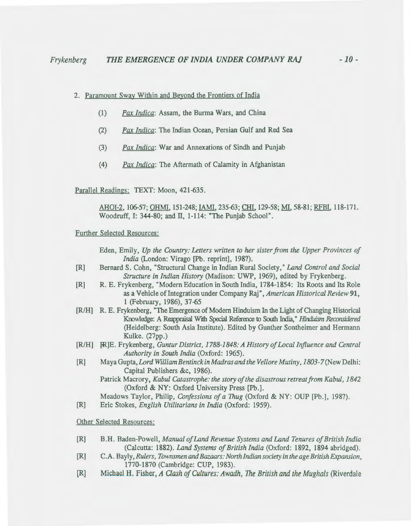### 2. Paramount Sway Within and Beyond the Frontiers of India

- (1) *Pax Indica:* Assam, the Burma Wars, and China
- (2) *Pax Indica:* The Indian Ocean, Persian Gulf and Red Sea
- (3) *Pax Indica:* War and Annexations of Sindh and Punjab
- (4) *Pax Indica:* The Aftermath of Calamity in Afghanistan

Parallel Readings: TEXT: Moon, 421-635.

AHOI-2, 106-57; OHMI, 151-248; IAMI, 235-63; CHI, 129-58; Ml, 58-81; RFBI, 118-171. Woodruff, I: 344-80; and II, 1-114: "The Punjab School".

#### Further Selected Resources:

- Eden, Emily, *Up the Country: Letters written to her sister from the Upper Provinces of India* (London: Virago [Pb. reprint], 198?).
- [R] Bernard S. Cohn, "Structural Change in Indian Rural Society," *Land Control and Social Structure in Indian History* (Madison: UWP, 1969), edited by Frykenberg.
- [R] R. E. Frykenberg, "Modern Education in South India, 1784-1854: Its Roots and Its Role as a Vehicle of Integration under Company Raj", *American Historical Review* 91, 1 (February, 1986), 37-65
- [R/H] R. E. Frykenberg, "The Emergence of Modern Hinduism In the Light of Changing Historical Knowledge: A Reappraisal With Special Reference to South India," *Hinduism Reconsidered* (Heidelberg: South Asia Institute). Edited by Gunther Sontheimer and Hermann Kulke. (27pp.)
- [R/H] }R]E. Frykenberg, *Guntur District, 1788-1848: A History of Local Influence and Central Authority in South India* (Oxford: 1965).
- [R] Maya Gupta, *Lord WilliamBentinck in Madras and the Vellore Mutiny, 1803-7* (New Delhi: Capital Publishers &c, 1986).
	- Patrick Macrory, *Kabul Catastrophe: the story of the disastrous retreat from Kabul, 1842*  (Oxford & NY: Oxford University Press [Pb.].

Meadows Taylor, Philip, *Confessions of a Thug* (Oxford & NY: OUP [Pb.], 198?).

[R] Eric Stokes, *English Utilitarians in India* (Oxford: 1959).

Other Selected Resources:

- [R] B.H. Baden-Powell, *Manual of Land Revenue Systems and Land Tenures of British India*  (Calcutta: 1882). *Land Systems of British India* (Oxford: 1892, 1894 abridged).
- [R] C. A. Bayly, *Rulers, Townsmen and Bazaars: North Indian society in the age British Expansion,*  1770-1870 (Cambridge: CUP, 1983).
- [R] Michael H. Fisher, *A Clash of Cultures: Awadh, The British and the Mughals* (Riverdale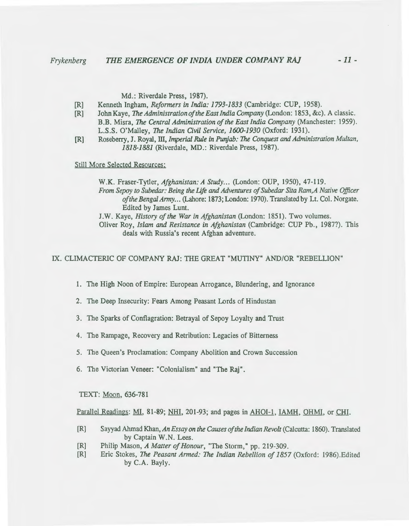Md.: Riverdale Press, 1987).

- [R] Kenneth Ingham, *Reformers in India: 1793-1833* (Cambridge: CUP, 1958).
- [R] John Kaye, *The Administration of the East India Company* (London: 1853, &c). A classic. B.B. Misra, *The Central Administration of the East India Company* (Manchester: 1959). L.S.S. O'Malley, *The Indian Civil Service, 1600-1930* (Oxford: 1931).
- [R] Roseberry, J. Royal, ill, *Imperial Rule in Punjab:* The *Conquest* and *Administration Multan, 1818-1881* (Riverdale, MD.: Riverdale Press, 1987).

Still More Selected Resources:

W.K. Fraser-Tytler, *Afghanistan: A Study ...* (London: OUP, 1950), 47-119. *From Sepoy to Suhedar: Being the life* and *Adventures of Subedar Sita Ram,A Native Officer*  of the Bengal Army... (Lahore: 1873; London: 1970). Translated by Lt. Col. Norgate. Edited by James Lunt.

J.W. Kaye, *History of the War in Afghanistan* (London: 1851). Two volumes.

Oliver Roy, *Islam and Resistance in Afghanistan* (Cambridge: CUP Pb. , 1987?). This deals with Russia's recent Afghan adventure.

IX. CLIMACTERIC OF COMPANY RAJ: THE GREAT "MUTINY" AND/OR "REBELLION"

1. The High Noon of Empire: European Arrogance, Blundering, and Ignorance

- 2. The Deep Insecurity: Fears Among Peasant Lords of Hindustan
- 3. The Sparks of Conflagration: Betrayal of Sepoy Loyalty and Trust
- 4. The Rampage, Recovery and Retribution: Legacies of Bitterness
- 5. The Queen's Proclamation: Company Abolition and Crown Succession
- 6. The Victorian Veneer: "Colonialism" and "The Raj".

TEXT: Moon, 636-781

Parallel Readings: MI, 81-89; NHI, 201-93; and pages in AHOI-1 , IAMH, OHMI, or CHI.

- [R] Sayyad Ahmad Khan, *An Essay on the Causes of the Indian Revolt* (Calcutta: 1860). Translated by Captain W.N. Lees.
- [R] Philip Mason, *A MatterofHonour,* "The Storm," pp. 219-309.
- [R] Eric Stokes, *The Peasant Armed: The Indian Rebellion of 1857* (Oxford: 1986).Edited by C.A. Bayly.